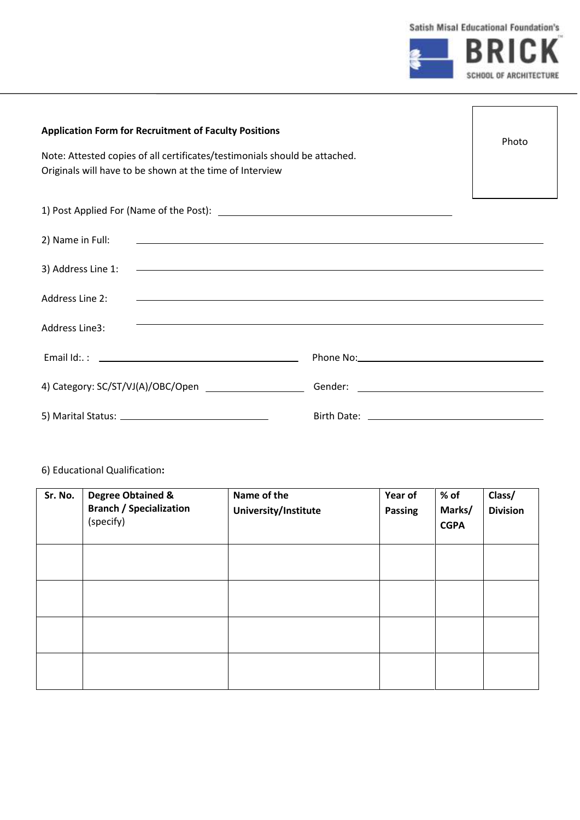

| <b>Application Form for Recruitment of Faculty Positions</b><br>Note: Attested copies of all certificates/testimonials should be attached.<br>Originals will have to be shown at the time of Interview                                                  |                                                                                  |  |  |  |
|---------------------------------------------------------------------------------------------------------------------------------------------------------------------------------------------------------------------------------------------------------|----------------------------------------------------------------------------------|--|--|--|
|                                                                                                                                                                                                                                                         |                                                                                  |  |  |  |
| 2) Name in Full:<br><u> 1989 - Johann Stoff, deutscher Stoffen und der Stoffen und der Stoffen und der Stoffen und der Stoffen und der</u>                                                                                                              |                                                                                  |  |  |  |
| <u> 1990 - Jan Barat, margaret amerikan basar dan berasal dalam basa dalam basa dalam basa dalam basa dalam basa</u><br>3) Address Line 1:                                                                                                              |                                                                                  |  |  |  |
| Address Line 2:<br><u>some started and the started and the started and the started and the started and the started and the started and the started and the started and the started and the started and the started and the started and the started </u> |                                                                                  |  |  |  |
| Address Line3:                                                                                                                                                                                                                                          | ,我们也不会有什么。""我们的人,我们也不会有什么?""我们的人,我们也不会有什么?""我们的人,我们也不会有什么?""我们的人,我们也不会有什么?""我们的人 |  |  |  |
|                                                                                                                                                                                                                                                         |                                                                                  |  |  |  |
|                                                                                                                                                                                                                                                         |                                                                                  |  |  |  |
|                                                                                                                                                                                                                                                         |                                                                                  |  |  |  |

## 6) Educational Qualification**:**

| Sr. No. | <b>Degree Obtained &amp;</b><br><b>Branch / Specialization</b><br>(specify) | Name of the<br>University/Institute | Year of<br><b>Passing</b> | $%$ of<br>Marks/<br><b>CGPA</b> | Class/<br><b>Division</b> |
|---------|-----------------------------------------------------------------------------|-------------------------------------|---------------------------|---------------------------------|---------------------------|
|         |                                                                             |                                     |                           |                                 |                           |
|         |                                                                             |                                     |                           |                                 |                           |
|         |                                                                             |                                     |                           |                                 |                           |
|         |                                                                             |                                     |                           |                                 |                           |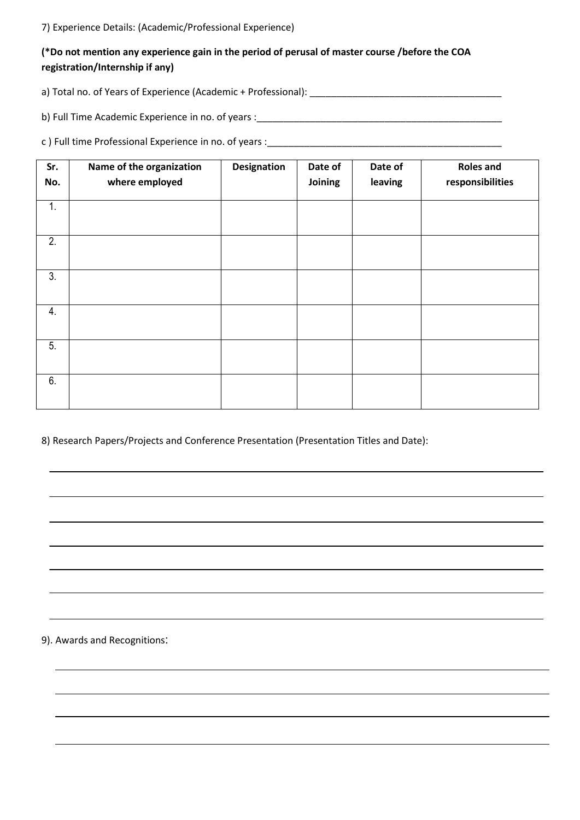7) Experience Details: (Academic/Professional Experience)

## **(\*Do not mention any experience gain in the period of perusal of master course /before the COA registration/Internship if any)**

a) Total no. of Years of Experience (Academic + Professional): \_\_\_\_\_\_\_\_\_\_\_\_\_\_\_\_\_\_\_\_\_\_\_\_\_\_\_\_\_\_\_\_\_\_\_\_

b) Full Time Academic Experience in no. of years :\_\_\_\_\_\_\_\_\_\_\_\_\_\_\_\_\_\_\_\_\_\_\_\_\_\_\_\_\_\_\_\_\_\_\_\_\_\_\_\_\_\_\_\_\_\_

c ) Full time Professional Experience in no. of years :\_\_\_\_\_\_\_\_\_\_\_\_\_\_\_\_\_\_\_\_\_\_\_\_\_\_\_\_\_\_\_\_\_\_\_\_\_\_\_\_\_\_\_\_

| Sr. | Name of the organization | <b>Designation</b> | Date of | Date of | <b>Roles and</b> |
|-----|--------------------------|--------------------|---------|---------|------------------|
| No. | where employed           |                    | Joining | leaving | responsibilities |
| 1.  |                          |                    |         |         |                  |
| 2.  |                          |                    |         |         |                  |
| 3.  |                          |                    |         |         |                  |
| 4.  |                          |                    |         |         |                  |
| 5.  |                          |                    |         |         |                  |
| 6.  |                          |                    |         |         |                  |

8) Research Papers/Projects and Conference Presentation (Presentation Titles and Date):

9). Awards and Recognitions: